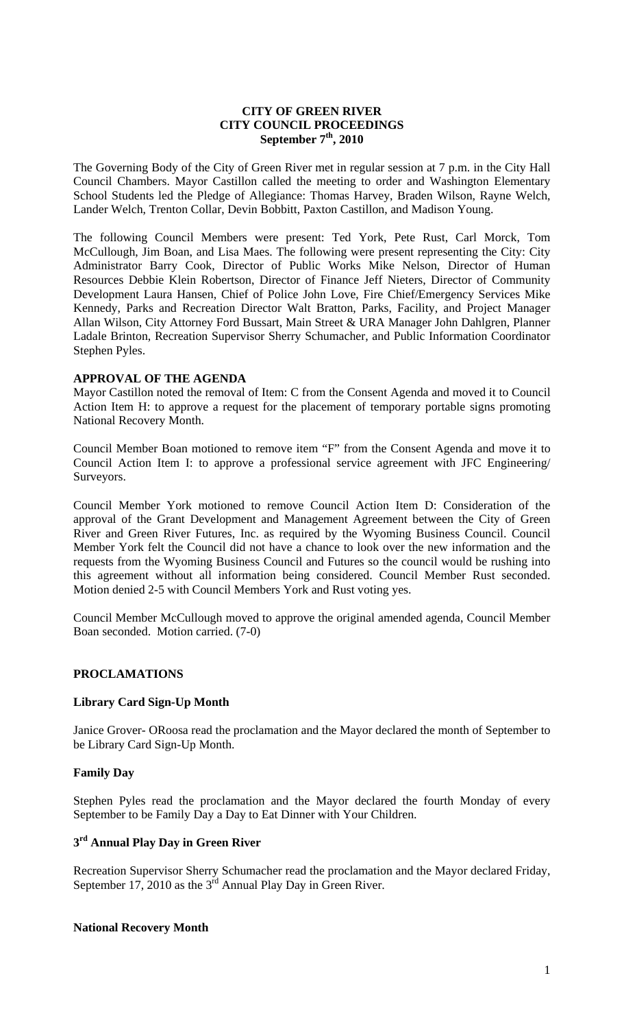#### **CITY OF GREEN RIVER CITY COUNCIL PROCEEDINGS**  September 7<sup>th</sup>, 2010

The Governing Body of the City of Green River met in regular session at 7 p.m. in the City Hall Council Chambers. Mayor Castillon called the meeting to order and Washington Elementary School Students led the Pledge of Allegiance: Thomas Harvey, Braden Wilson, Rayne Welch, Lander Welch, Trenton Collar, Devin Bobbitt, Paxton Castillon, and Madison Young.

The following Council Members were present: Ted York, Pete Rust, Carl Morck, Tom McCullough, Jim Boan, and Lisa Maes. The following were present representing the City: City Administrator Barry Cook, Director of Public Works Mike Nelson, Director of Human Resources Debbie Klein Robertson, Director of Finance Jeff Nieters, Director of Community Development Laura Hansen, Chief of Police John Love, Fire Chief/Emergency Services Mike Kennedy, Parks and Recreation Director Walt Bratton, Parks, Facility, and Project Manager Allan Wilson, City Attorney Ford Bussart, Main Street & URA Manager John Dahlgren, Planner Ladale Brinton, Recreation Supervisor Sherry Schumacher, and Public Information Coordinator Stephen Pyles.

## **APPROVAL OF THE AGENDA**

Mayor Castillon noted the removal of Item: C from the Consent Agenda and moved it to Council Action Item H: to approve a request for the placement of temporary portable signs promoting National Recovery Month.

Council Member Boan motioned to remove item "F" from the Consent Agenda and move it to Council Action Item I: to approve a professional service agreement with JFC Engineering/ Surveyors.

Council Member York motioned to remove Council Action Item D: Consideration of the approval of the Grant Development and Management Agreement between the City of Green River and Green River Futures, Inc. as required by the Wyoming Business Council. Council Member York felt the Council did not have a chance to look over the new information and the requests from the Wyoming Business Council and Futures so the council would be rushing into this agreement without all information being considered. Council Member Rust seconded. Motion denied 2-5 with Council Members York and Rust voting yes.

Council Member McCullough moved to approve the original amended agenda, Council Member Boan seconded. Motion carried. (7-0)

### **PROCLAMATIONS**

### **Library Card Sign-Up Month**

Janice Grover- ORoosa read the proclamation and the Mayor declared the month of September to be Library Card Sign-Up Month.

### **Family Day**

Stephen Pyles read the proclamation and the Mayor declared the fourth Monday of every September to be Family Day a Day to Eat Dinner with Your Children.

## **3rd Annual Play Day in Green River**

Recreation Supervisor Sherry Schumacher read the proclamation and the Mayor declared Friday, September 17, 2010 as the  $3<sup>rd</sup>$  Annual Play Day in Green River.

### **National Recovery Month**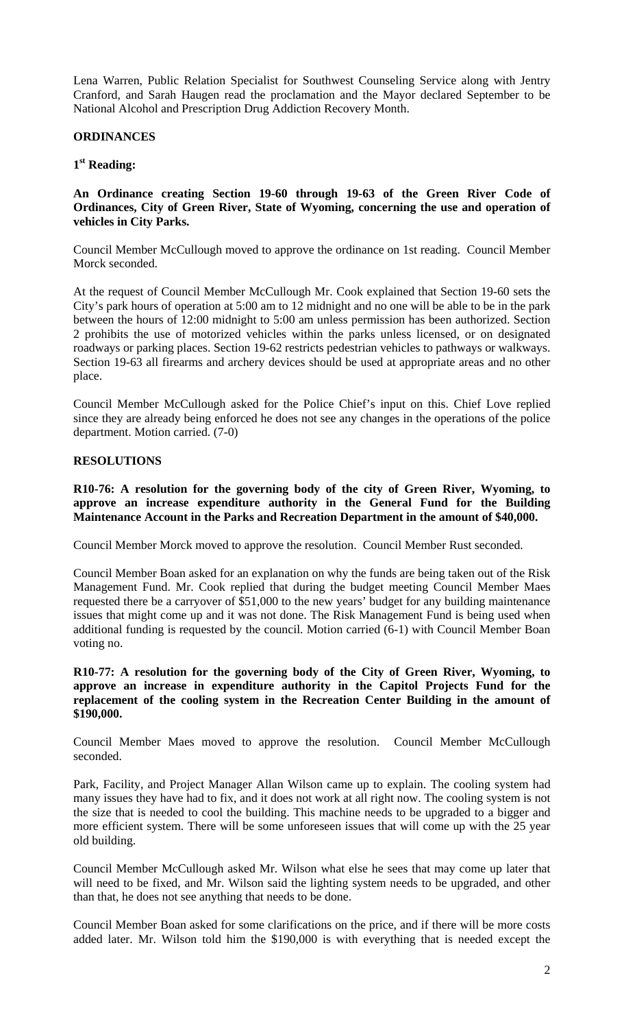Lena Warren, Public Relation Specialist for Southwest Counseling Service along with Jentry Cranford, and Sarah Haugen read the proclamation and the Mayor declared September to be National Alcohol and Prescription Drug Addiction Recovery Month.

#### **ORDINANCES**

#### **1st Reading:**

### **An Ordinance creating Section 19-60 through 19-63 of the Green River Code of Ordinances, City of Green River, State of Wyoming, concerning the use and operation of vehicles in City Parks.**

Council Member McCullough moved to approve the ordinance on 1st reading. Council Member Morck seconded.

At the request of Council Member McCullough Mr. Cook explained that Section 19-60 sets the City's park hours of operation at 5:00 am to 12 midnight and no one will be able to be in the park between the hours of 12:00 midnight to 5:00 am unless permission has been authorized. Section 2 prohibits the use of motorized vehicles within the parks unless licensed, or on designated roadways or parking places. Section 19-62 restricts pedestrian vehicles to pathways or walkways. Section 19-63 all firearms and archery devices should be used at appropriate areas and no other place.

Council Member McCullough asked for the Police Chief's input on this. Chief Love replied since they are already being enforced he does not see any changes in the operations of the police department. Motion carried. (7-0)

#### **RESOLUTIONS**

**R10-76: A resolution for the governing body of the city of Green River, Wyoming, to approve an increase expenditure authority in the General Fund for the Building Maintenance Account in the Parks and Recreation Department in the amount of \$40,000.**

Council Member Morck moved to approve the resolution. Council Member Rust seconded.

Council Member Boan asked for an explanation on why the funds are being taken out of the Risk Management Fund. Mr. Cook replied that during the budget meeting Council Member Maes requested there be a carryover of \$51,000 to the new years' budget for any building maintenance issues that might come up and it was not done. The Risk Management Fund is being used when additional funding is requested by the council. Motion carried (6-1) with Council Member Boan voting no.

#### **R10-77: A resolution for the governing body of the City of Green River, Wyoming, to approve an increase in expenditure authority in the Capitol Projects Fund for the replacement of the cooling system in the Recreation Center Building in the amount of \$190,000.**

Council Member Maes moved to approve the resolution. Council Member McCullough seconded.

Park, Facility, and Project Manager Allan Wilson came up to explain. The cooling system had many issues they have had to fix, and it does not work at all right now. The cooling system is not the size that is needed to cool the building. This machine needs to be upgraded to a bigger and more efficient system. There will be some unforeseen issues that will come up with the 25 year old building.

Council Member McCullough asked Mr. Wilson what else he sees that may come up later that will need to be fixed, and Mr. Wilson said the lighting system needs to be upgraded, and other than that, he does not see anything that needs to be done.

Council Member Boan asked for some clarifications on the price, and if there will be more costs added later. Mr. Wilson told him the \$190,000 is with everything that is needed except the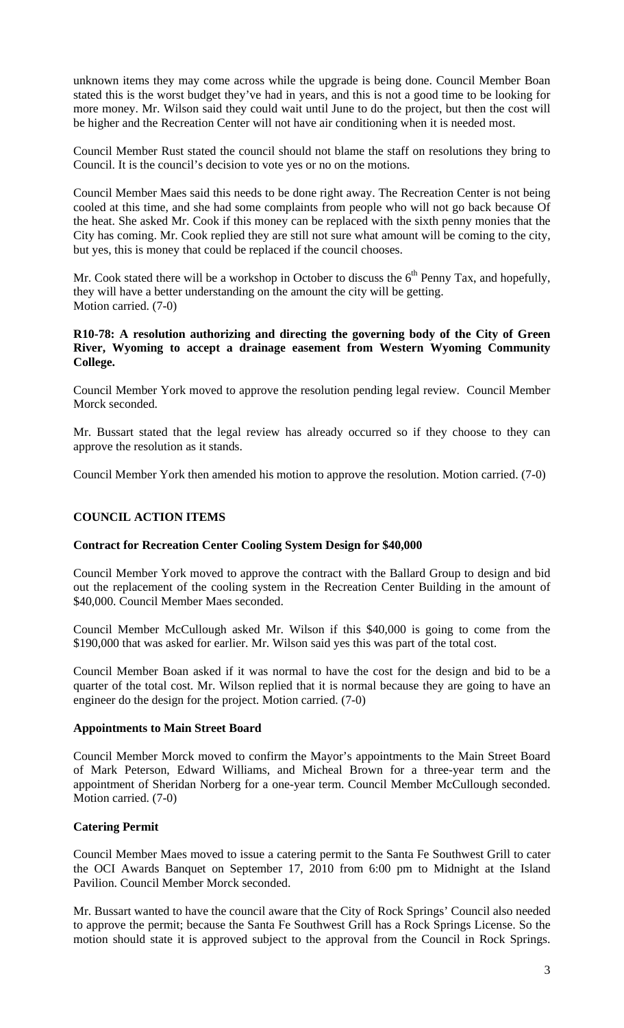unknown items they may come across while the upgrade is being done. Council Member Boan stated this is the worst budget they've had in years, and this is not a good time to be looking for more money. Mr. Wilson said they could wait until June to do the project, but then the cost will be higher and the Recreation Center will not have air conditioning when it is needed most.

Council Member Rust stated the council should not blame the staff on resolutions they bring to Council. It is the council's decision to vote yes or no on the motions.

Council Member Maes said this needs to be done right away. The Recreation Center is not being cooled at this time, and she had some complaints from people who will not go back because Of the heat. She asked Mr. Cook if this money can be replaced with the sixth penny monies that the City has coming. Mr. Cook replied they are still not sure what amount will be coming to the city, but yes, this is money that could be replaced if the council chooses.

Mr. Cook stated there will be a workshop in October to discuss the  $6<sup>th</sup>$  Penny Tax, and hopefully, they will have a better understanding on the amount the city will be getting. Motion carried. (7-0)

## **R10-78: A resolution authorizing and directing the governing body of the City of Green River, Wyoming to accept a drainage easement from Western Wyoming Community College.**

Council Member York moved to approve the resolution pending legal review. Council Member Morck seconded.

Mr. Bussart stated that the legal review has already occurred so if they choose to they can approve the resolution as it stands.

Council Member York then amended his motion to approve the resolution. Motion carried. (7-0)

# **COUNCIL ACTION ITEMS**

### **Contract for Recreation Center Cooling System Design for \$40,000**

Council Member York moved to approve the contract with the Ballard Group to design and bid out the replacement of the cooling system in the Recreation Center Building in the amount of \$40,000. Council Member Maes seconded.

Council Member McCullough asked Mr. Wilson if this \$40,000 is going to come from the \$190,000 that was asked for earlier. Mr. Wilson said yes this was part of the total cost.

Council Member Boan asked if it was normal to have the cost for the design and bid to be a quarter of the total cost. Mr. Wilson replied that it is normal because they are going to have an engineer do the design for the project. Motion carried. (7-0)

### **Appointments to Main Street Board**

Council Member Morck moved to confirm the Mayor's appointments to the Main Street Board of Mark Peterson, Edward Williams, and Micheal Brown for a three-year term and the appointment of Sheridan Norberg for a one-year term. Council Member McCullough seconded. Motion carried. (7-0)

### **Catering Permit**

Council Member Maes moved to issue a catering permit to the Santa Fe Southwest Grill to cater the OCI Awards Banquet on September 17, 2010 from 6:00 pm to Midnight at the Island Pavilion. Council Member Morck seconded.

Mr. Bussart wanted to have the council aware that the City of Rock Springs' Council also needed to approve the permit; because the Santa Fe Southwest Grill has a Rock Springs License. So the motion should state it is approved subject to the approval from the Council in Rock Springs.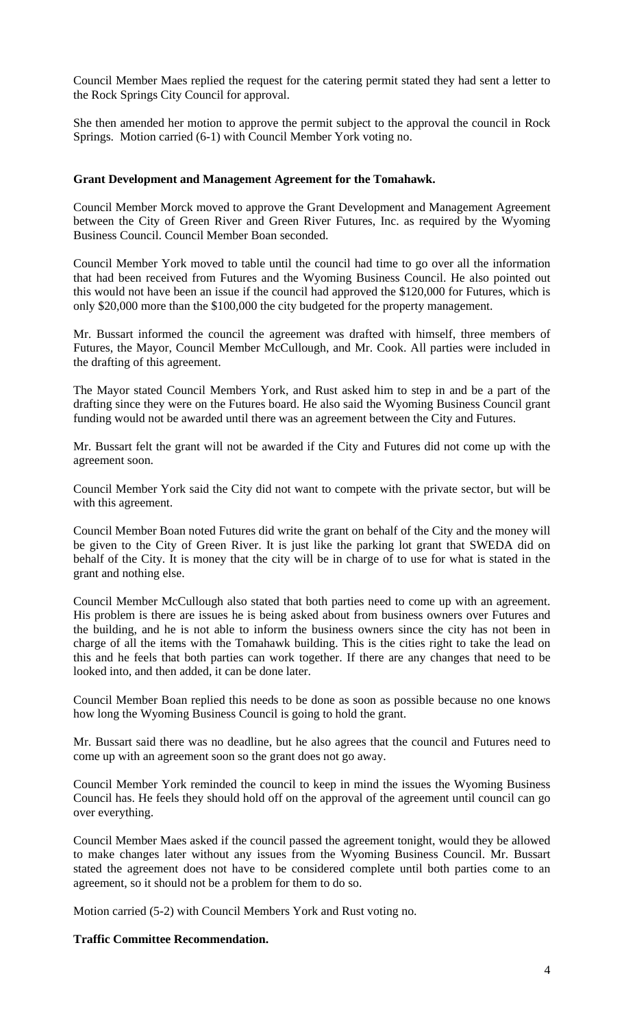Council Member Maes replied the request for the catering permit stated they had sent a letter to the Rock Springs City Council for approval.

She then amended her motion to approve the permit subject to the approval the council in Rock Springs. Motion carried (6-1) with Council Member York voting no.

#### **Grant Development and Management Agreement for the Tomahawk.**

Council Member Morck moved to approve the Grant Development and Management Agreement between the City of Green River and Green River Futures, Inc. as required by the Wyoming Business Council. Council Member Boan seconded.

Council Member York moved to table until the council had time to go over all the information that had been received from Futures and the Wyoming Business Council. He also pointed out this would not have been an issue if the council had approved the \$120,000 for Futures, which is only \$20,000 more than the \$100,000 the city budgeted for the property management.

Mr. Bussart informed the council the agreement was drafted with himself, three members of Futures, the Mayor, Council Member McCullough, and Mr. Cook. All parties were included in the drafting of this agreement.

The Mayor stated Council Members York, and Rust asked him to step in and be a part of the drafting since they were on the Futures board. He also said the Wyoming Business Council grant funding would not be awarded until there was an agreement between the City and Futures.

Mr. Bussart felt the grant will not be awarded if the City and Futures did not come up with the agreement soon.

Council Member York said the City did not want to compete with the private sector, but will be with this agreement.

Council Member Boan noted Futures did write the grant on behalf of the City and the money will be given to the City of Green River. It is just like the parking lot grant that SWEDA did on behalf of the City. It is money that the city will be in charge of to use for what is stated in the grant and nothing else.

Council Member McCullough also stated that both parties need to come up with an agreement. His problem is there are issues he is being asked about from business owners over Futures and the building, and he is not able to inform the business owners since the city has not been in charge of all the items with the Tomahawk building. This is the cities right to take the lead on this and he feels that both parties can work together. If there are any changes that need to be looked into, and then added, it can be done later.

Council Member Boan replied this needs to be done as soon as possible because no one knows how long the Wyoming Business Council is going to hold the grant.

Mr. Bussart said there was no deadline, but he also agrees that the council and Futures need to come up with an agreement soon so the grant does not go away.

Council Member York reminded the council to keep in mind the issues the Wyoming Business Council has. He feels they should hold off on the approval of the agreement until council can go over everything.

Council Member Maes asked if the council passed the agreement tonight, would they be allowed to make changes later without any issues from the Wyoming Business Council. Mr. Bussart stated the agreement does not have to be considered complete until both parties come to an agreement, so it should not be a problem for them to do so.

Motion carried (5-2) with Council Members York and Rust voting no.

### **Traffic Committee Recommendation.**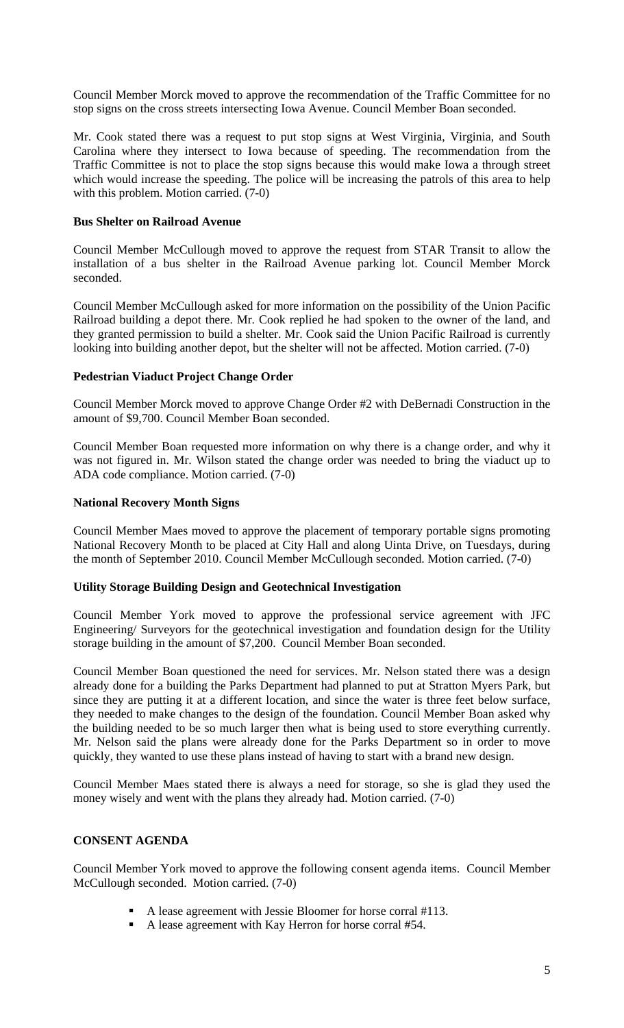Council Member Morck moved to approve the recommendation of the Traffic Committee for no stop signs on the cross streets intersecting Iowa Avenue. Council Member Boan seconded.

Mr. Cook stated there was a request to put stop signs at West Virginia, Virginia, and South Carolina where they intersect to Iowa because of speeding. The recommendation from the Traffic Committee is not to place the stop signs because this would make Iowa a through street which would increase the speeding. The police will be increasing the patrols of this area to help with this problem. Motion carried. (7-0)

### **Bus Shelter on Railroad Avenue**

Council Member McCullough moved to approve the request from STAR Transit to allow the installation of a bus shelter in the Railroad Avenue parking lot. Council Member Morck seconded.

Council Member McCullough asked for more information on the possibility of the Union Pacific Railroad building a depot there. Mr. Cook replied he had spoken to the owner of the land, and they granted permission to build a shelter. Mr. Cook said the Union Pacific Railroad is currently looking into building another depot, but the shelter will not be affected. Motion carried. (7-0)

## **Pedestrian Viaduct Project Change Order**

Council Member Morck moved to approve Change Order #2 with DeBernadi Construction in the amount of \$9,700. Council Member Boan seconded.

Council Member Boan requested more information on why there is a change order, and why it was not figured in. Mr. Wilson stated the change order was needed to bring the viaduct up to ADA code compliance. Motion carried. (7-0)

## **National Recovery Month Signs**

Council Member Maes moved to approve the placement of temporary portable signs promoting National Recovery Month to be placed at City Hall and along Uinta Drive, on Tuesdays, during the month of September 2010. Council Member McCullough seconded. Motion carried. (7-0)

### **Utility Storage Building Design and Geotechnical Investigation**

Council Member York moved to approve the professional service agreement with JFC Engineering/ Surveyors for the geotechnical investigation and foundation design for the Utility storage building in the amount of \$7,200. Council Member Boan seconded.

Council Member Boan questioned the need for services. Mr. Nelson stated there was a design already done for a building the Parks Department had planned to put at Stratton Myers Park, but since they are putting it at a different location, and since the water is three feet below surface, they needed to make changes to the design of the foundation. Council Member Boan asked why the building needed to be so much larger then what is being used to store everything currently. Mr. Nelson said the plans were already done for the Parks Department so in order to move quickly, they wanted to use these plans instead of having to start with a brand new design.

Council Member Maes stated there is always a need for storage, so she is glad they used the money wisely and went with the plans they already had. Motion carried. (7-0)

# **CONSENT AGENDA**

Council Member York moved to approve the following consent agenda items. Council Member McCullough seconded. Motion carried. (7-0)

- A lease agreement with Jessie Bloomer for horse corral #113.
- A lease agreement with Kay Herron for horse corral #54.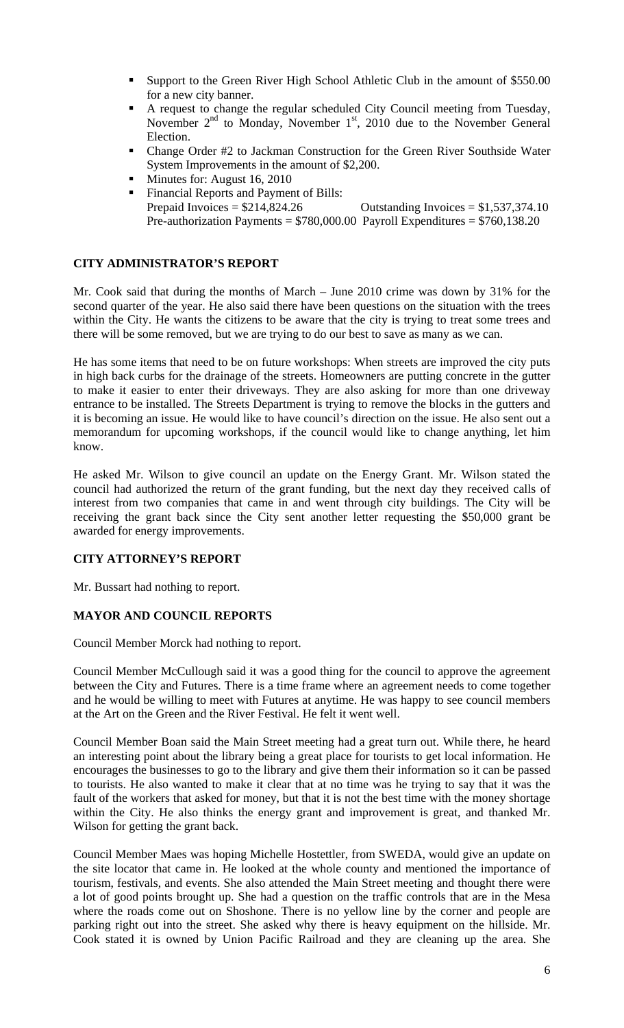- Support to the Green River High School Athletic Club in the amount of \$550.00 for a new city banner.
- A request to change the regular scheduled City Council meeting from Tuesday, November  $2<sup>nd</sup>$  to Monday, November  $1<sup>st</sup>$ , 2010 due to the November General Election.
- Change Order #2 to Jackman Construction for the Green River Southside Water System Improvements in the amount of \$2,200.
- **Minutes for: August 16, 2010**
- Financial Reports and Payment of Bills: Prepaid Invoices =  $$214,824.26$  Outstanding Invoices =  $$1,537,374.10$ Pre-authorization Payments =  $$780,000.00$  Payroll Expenditures =  $$760,138.20$

### **CITY ADMINISTRATOR'S REPORT**

Mr. Cook said that during the months of March – June 2010 crime was down by 31% for the second quarter of the year. He also said there have been questions on the situation with the trees within the City. He wants the citizens to be aware that the city is trying to treat some trees and there will be some removed, but we are trying to do our best to save as many as we can.

He has some items that need to be on future workshops: When streets are improved the city puts in high back curbs for the drainage of the streets. Homeowners are putting concrete in the gutter to make it easier to enter their driveways. They are also asking for more than one driveway entrance to be installed. The Streets Department is trying to remove the blocks in the gutters and it is becoming an issue. He would like to have council's direction on the issue. He also sent out a memorandum for upcoming workshops, if the council would like to change anything, let him know.

He asked Mr. Wilson to give council an update on the Energy Grant. Mr. Wilson stated the council had authorized the return of the grant funding, but the next day they received calls of interest from two companies that came in and went through city buildings. The City will be receiving the grant back since the City sent another letter requesting the \$50,000 grant be awarded for energy improvements.

### **CITY ATTORNEY'S REPORT**

Mr. Bussart had nothing to report.

### **MAYOR AND COUNCIL REPORTS**

Council Member Morck had nothing to report.

Council Member McCullough said it was a good thing for the council to approve the agreement between the City and Futures. There is a time frame where an agreement needs to come together and he would be willing to meet with Futures at anytime. He was happy to see council members at the Art on the Green and the River Festival. He felt it went well.

Council Member Boan said the Main Street meeting had a great turn out. While there, he heard an interesting point about the library being a great place for tourists to get local information. He encourages the businesses to go to the library and give them their information so it can be passed to tourists. He also wanted to make it clear that at no time was he trying to say that it was the fault of the workers that asked for money, but that it is not the best time with the money shortage within the City. He also thinks the energy grant and improvement is great, and thanked Mr. Wilson for getting the grant back.

Council Member Maes was hoping Michelle Hostettler, from SWEDA, would give an update on the site locator that came in. He looked at the whole county and mentioned the importance of tourism, festivals, and events. She also attended the Main Street meeting and thought there were a lot of good points brought up. She had a question on the traffic controls that are in the Mesa where the roads come out on Shoshone. There is no yellow line by the corner and people are parking right out into the street. She asked why there is heavy equipment on the hillside. Mr. Cook stated it is owned by Union Pacific Railroad and they are cleaning up the area. She